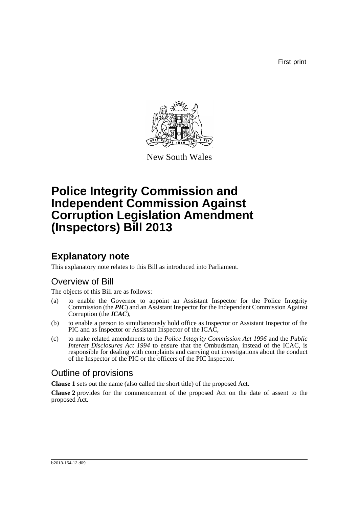First print



New South Wales

# **Police Integrity Commission and Independent Commission Against Corruption Legislation Amendment (Inspectors) Bill 2013**

## **Explanatory note**

This explanatory note relates to this Bill as introduced into Parliament.

### Overview of Bill

The objects of this Bill are as follows:

- (a) to enable the Governor to appoint an Assistant Inspector for the Police Integrity Commission (the *PIC*) and an Assistant Inspector for the Independent Commission Against Corruption (the *ICAC*),
- (b) to enable a person to simultaneously hold office as Inspector or Assistant Inspector of the PIC and as Inspector or Assistant Inspector of the ICAC,
- (c) to make related amendments to the *Police Integrity Commission Act 1996* and the *Public Interest Disclosures Act 1994* to ensure that the Ombudsman, instead of the ICAC, is responsible for dealing with complaints and carrying out investigations about the conduct of the Inspector of the PIC or the officers of the PIC Inspector.

### Outline of provisions

**Clause 1** sets out the name (also called the short title) of the proposed Act.

**Clause 2** provides for the commencement of the proposed Act on the date of assent to the proposed Act.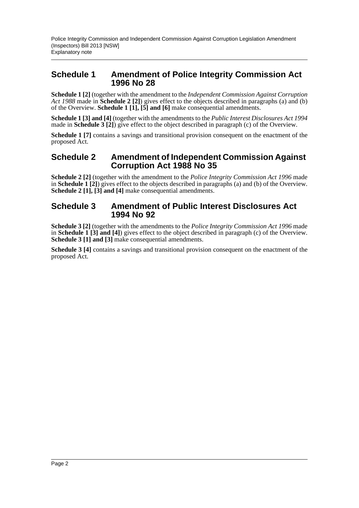#### **Schedule 1 Amendment of Police Integrity Commission Act 1996 No 28**

**Schedule 1 [2]** (together with the amendment to the *Independent Commission Against Corruption Act 1988* made in **Schedule 2 [2]**) gives effect to the objects described in paragraphs (a) and (b) of the Overview. **Schedule 1 [1], [5] and [6]** make consequential amendments.

**Schedule 1 [3] and [4]** (together with the amendments to the *Public Interest Disclosures Act 1994* made in **Schedule 3 [2]**) give effect to the object described in paragraph (c) of the Overview.

**Schedule 1** [7] contains a savings and transitional provision consequent on the enactment of the proposed Act.

#### **Schedule 2 Amendment of Independent Commission Against Corruption Act 1988 No 35**

**Schedule 2 [2]** (together with the amendment to the *Police Integrity Commission Act 1996* made in **Schedule 1 [2]**) gives effect to the objects described in paragraphs (a) and (b) of the Overview. **Schedule 2 [1], [3] and [4]** make consequential amendments.

#### **Schedule 3 Amendment of Public Interest Disclosures Act 1994 No 92**

**Schedule 3 [2]** (together with the amendments to the *Police Integrity Commission Act 1996* made in **Schedule 1 [3] and [4]**) gives effect to the object described in paragraph (c) of the Overview. **Schedule 3 [1] and [3]** make consequential amendments.

**Schedule 3 [4]** contains a savings and transitional provision consequent on the enactment of the proposed Act.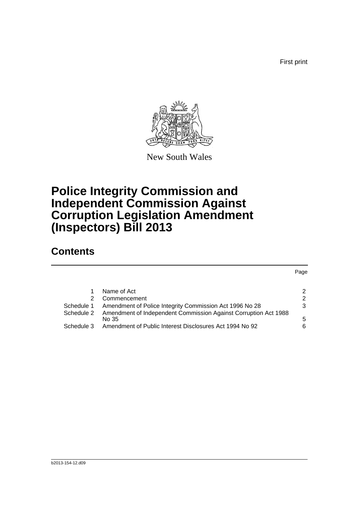First print

Page



New South Wales

## **Police Integrity Commission and Independent Commission Against Corruption Legislation Amendment (Inspectors) Bill 2013**

### **Contents**

|            |                                                                 | r ayu |
|------------|-----------------------------------------------------------------|-------|
|            |                                                                 |       |
|            | Name of Act                                                     | 2     |
| 2          | Commencement                                                    | 2     |
| Schedule 1 | Amendment of Police Integrity Commission Act 1996 No 28         | 3     |
| Schedule 2 | Amendment of Independent Commission Against Corruption Act 1988 |       |
|            | No 35                                                           | 5     |
| Schedule 3 | Amendment of Public Interest Disclosures Act 1994 No 92         | 6     |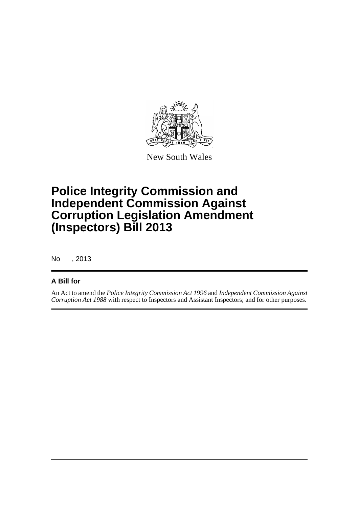

New South Wales

## **Police Integrity Commission and Independent Commission Against Corruption Legislation Amendment (Inspectors) Bill 2013**

No , 2013

#### **A Bill for**

An Act to amend the *Police Integrity Commission Act 1996* and *Independent Commission Against Corruption Act 1988* with respect to Inspectors and Assistant Inspectors; and for other purposes.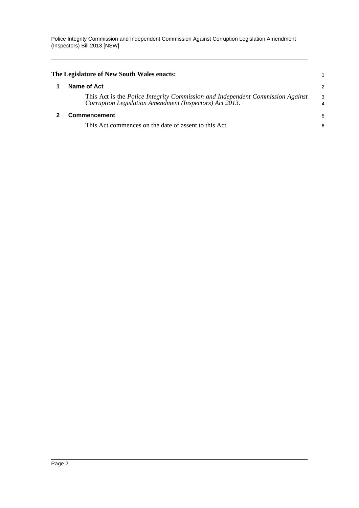<span id="page-4-1"></span><span id="page-4-0"></span>

| The Legislature of New South Wales enacts:                                                                                                |                     |
|-------------------------------------------------------------------------------------------------------------------------------------------|---------------------|
| Name of Act                                                                                                                               | $\overline{2}$      |
| This Act is the Police Integrity Commission and Independent Commission Against<br>Corruption Legislation Amendment (Inspectors) Act 2013. | 3<br>$\overline{4}$ |
| <b>Commencement</b>                                                                                                                       | 5                   |
| This Act commences on the date of assent to this Act.                                                                                     | 6                   |
|                                                                                                                                           |                     |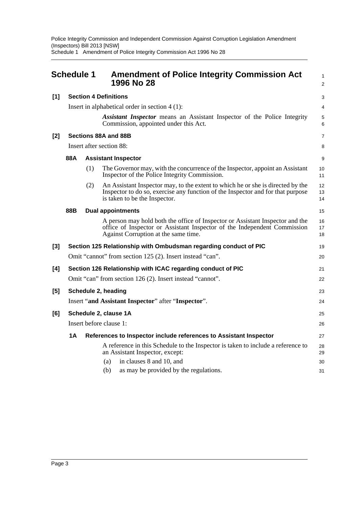Police Integrity Commission and Independent Commission Against Corruption Legislation Amendment (Inspectors) Bill 2013 [NSW] Schedule 1 Amendment of Police Integrity Commission Act 1996 No 28

<span id="page-5-0"></span>

|       | <b>Schedule 1</b>                                         |                          | <b>Amendment of Police Integrity Commission Act</b><br>1996 No 28                                                                                                                                   | $\mathbf{1}$<br>2 |
|-------|-----------------------------------------------------------|--------------------------|-----------------------------------------------------------------------------------------------------------------------------------------------------------------------------------------------------|-------------------|
| [1]   | <b>Section 4 Definitions</b>                              |                          |                                                                                                                                                                                                     | 3                 |
|       |                                                           |                          | Insert in alphabetical order in section $4(1)$ :                                                                                                                                                    | $\overline{4}$    |
|       |                                                           |                          | Assistant Inspector means an Assistant Inspector of the Police Integrity<br>Commission, appointed under this Act.                                                                                   | 5<br>6            |
| [2]   |                                                           |                          | Sections 88A and 88B                                                                                                                                                                                | $\overline{7}$    |
|       |                                                           | Insert after section 88: |                                                                                                                                                                                                     |                   |
|       | 88A                                                       |                          | <b>Assistant Inspector</b>                                                                                                                                                                          | 9                 |
|       |                                                           | (1)                      | The Governor may, with the concurrence of the Inspector, appoint an Assistant<br>Inspector of the Police Integrity Commission.                                                                      | 10<br>11          |
|       |                                                           | (2)                      | An Assistant Inspector may, to the extent to which he or she is directed by the<br>Inspector to do so, exercise any function of the Inspector and for that purpose<br>is taken to be the Inspector. | 12<br>13<br>14    |
|       | 88B                                                       |                          | <b>Dual appointments</b>                                                                                                                                                                            | 15                |
|       |                                                           |                          | A person may hold both the office of Inspector or Assistant Inspector and the<br>office of Inspector or Assistant Inspector of the Independent Commission<br>Against Corruption at the same time.   | 16<br>17<br>18    |
| $[3]$ |                                                           |                          | Section 125 Relationship with Ombudsman regarding conduct of PIC                                                                                                                                    | 19                |
|       | Omit "cannot" from section 125 (2). Insert instead "can". |                          |                                                                                                                                                                                                     | 20                |
| [4]   |                                                           |                          | Section 126 Relationship with ICAC regarding conduct of PIC                                                                                                                                         | 21                |
|       |                                                           |                          | Omit "can" from section 126 (2). Insert instead "cannot".                                                                                                                                           | 22                |
| [5]   | Schedule 2, heading                                       |                          |                                                                                                                                                                                                     | 23                |
|       |                                                           |                          | Insert "and Assistant Inspector" after "Inspector".                                                                                                                                                 | 24                |
| [6]   | Schedule 2, clause 1A                                     |                          |                                                                                                                                                                                                     | 25                |
|       | Insert before clause 1:                                   |                          |                                                                                                                                                                                                     | 26                |
|       | 1A                                                        |                          | References to Inspector include references to Assistant Inspector                                                                                                                                   | 27                |
|       |                                                           |                          | A reference in this Schedule to the Inspector is taken to include a reference to<br>an Assistant Inspector, except:                                                                                 | 28<br>29          |
|       |                                                           |                          | in clauses 8 and 10, and<br>(a)                                                                                                                                                                     | 30                |
|       |                                                           |                          | as may be provided by the regulations.<br>(b)                                                                                                                                                       | 31                |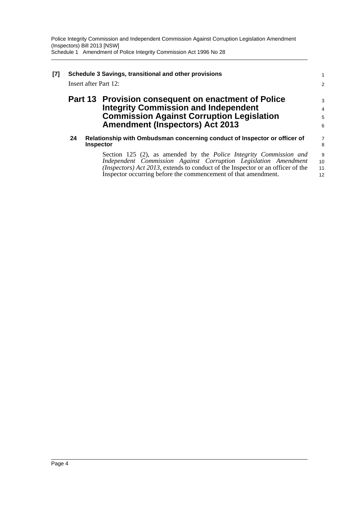| [7] | Schedule 3 Savings, transitional and other provisions<br>Insert after Part 12: |                                                                                                                                                                                                                                                                                            | 1<br>$\overline{2}$                   |
|-----|--------------------------------------------------------------------------------|--------------------------------------------------------------------------------------------------------------------------------------------------------------------------------------------------------------------------------------------------------------------------------------------|---------------------------------------|
|     |                                                                                | Part 13 Provision consequent on enactment of Police<br><b>Integrity Commission and Independent</b><br><b>Commission Against Corruption Legislation</b><br><b>Amendment (Inspectors) Act 2013</b>                                                                                           | 3<br>$\overline{4}$<br>5<br>6         |
|     | 24                                                                             | Relationship with Ombudsman concerning conduct of Inspector or officer of<br><b>Inspector</b>                                                                                                                                                                                              | $\begin{array}{c} 7 \\ 8 \end{array}$ |
|     |                                                                                | Section 125 (2), as amended by the Police Integrity Commission and<br>Independent Commission Against Corruption Legislation Amendment<br>(Inspectors) Act 2013, extends to conduct of the Inspector or an officer of the<br>Inspector occurring before the commencement of that amendment. | 9<br>10<br>11<br>12                   |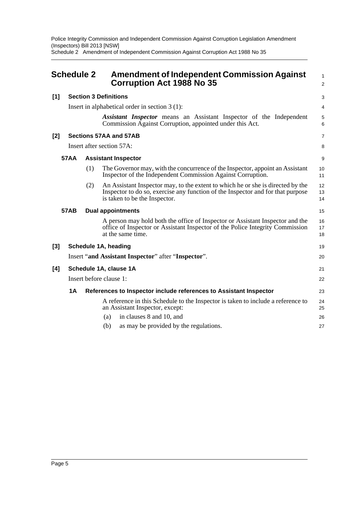Police Integrity Commission and Independent Commission Against Corruption Legislation Amendment (Inspectors) Bill 2013 [NSW] Schedule 2 Amendment of Independent Commission Against Corruption Act 1988 No 35

<span id="page-7-0"></span>

|                                     | <b>Schedule 2</b>                                |                            | <b>Amendment of Independent Commission Against</b><br><b>Corruption Act 1988 No 35</b>                                                                                                              | 1<br>$\overline{2}$ |  |
|-------------------------------------|--------------------------------------------------|----------------------------|-----------------------------------------------------------------------------------------------------------------------------------------------------------------------------------------------------|---------------------|--|
| <b>Section 3 Definitions</b><br>[1] |                                                  |                            |                                                                                                                                                                                                     | 3                   |  |
|                                     | Insert in alphabetical order in section $3(1)$ : |                            | 4                                                                                                                                                                                                   |                     |  |
|                                     |                                                  |                            | Assistant Inspector means an Assistant Inspector of the Independent<br>Commission Against Corruption, appointed under this Act.                                                                     | 5<br>6              |  |
| [2]                                 |                                                  |                            | Sections 57AA and 57AB                                                                                                                                                                              | $\overline{7}$      |  |
|                                     |                                                  |                            | Insert after section 57A:                                                                                                                                                                           | 8                   |  |
|                                     | <b>57AA</b>                                      | <b>Assistant Inspector</b> |                                                                                                                                                                                                     |                     |  |
|                                     |                                                  | (1)                        | The Governor may, with the concurrence of the Inspector, appoint an Assistant<br>Inspector of the Independent Commission Against Corruption.                                                        | 10<br>11            |  |
|                                     |                                                  | (2)                        | An Assistant Inspector may, to the extent to which he or she is directed by the<br>Inspector to do so, exercise any function of the Inspector and for that purpose<br>is taken to be the Inspector. | 12<br>13<br>14      |  |
|                                     | <b>57AB</b>                                      |                            | <b>Dual appointments</b>                                                                                                                                                                            | 15                  |  |
|                                     |                                                  |                            | A person may hold both the office of Inspector or Assistant Inspector and the<br>office of Inspector or Assistant Inspector of the Police Integrity Commission<br>at the same time.                 | 16<br>17<br>18      |  |
| [3]                                 | Schedule 1A, heading                             |                            |                                                                                                                                                                                                     | 19                  |  |
|                                     |                                                  |                            | Insert "and Assistant Inspector" after "Inspector".                                                                                                                                                 | 20                  |  |
| [4]                                 | Schedule 1A, clause 1A                           |                            |                                                                                                                                                                                                     |                     |  |
|                                     |                                                  | Insert before clause 1:    |                                                                                                                                                                                                     |                     |  |
|                                     | 1A                                               |                            | References to Inspector include references to Assistant Inspector                                                                                                                                   | 23                  |  |
|                                     |                                                  |                            | A reference in this Schedule to the Inspector is taken to include a reference to<br>an Assistant Inspector, except:                                                                                 | 24<br>25            |  |
|                                     |                                                  |                            | in clauses 8 and 10, and<br>(a)                                                                                                                                                                     | 26                  |  |
|                                     |                                                  |                            | (b)<br>as may be provided by the regulations.                                                                                                                                                       | 27                  |  |